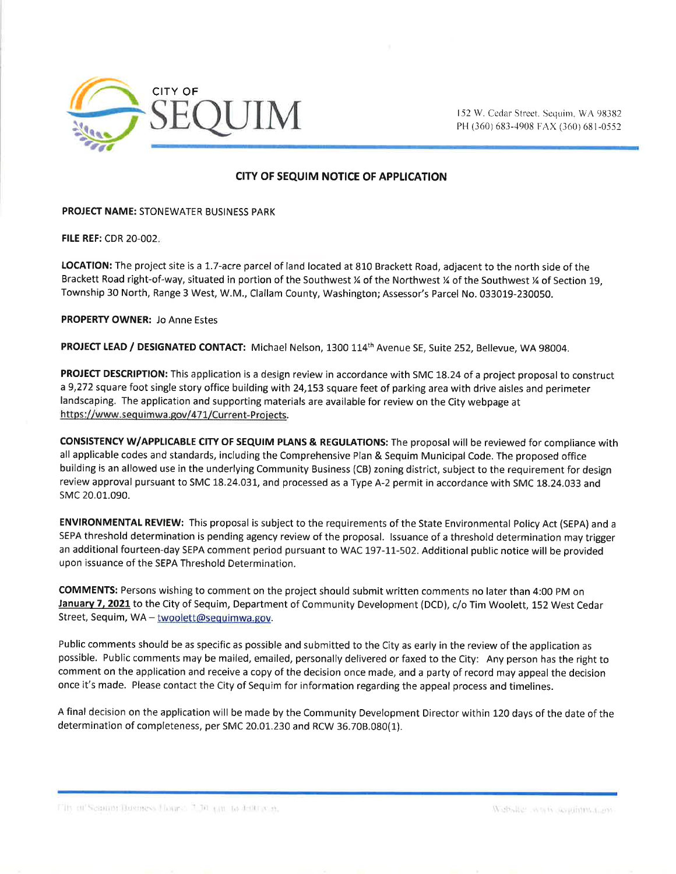

PH (360) 683-4908 FAX (360) 681-0552

## CITY OF SEQUIM NOTICE OF APPLICATION

PROJECT NAME: STONEWATER BUSINESS PARK

**FILE REF: CDR 20-002.** 

LOCATION: The project site is a 1.7-acre parcel of land located at 810 Brackett Road, adjacent to the north side of the Brackett Road right-of-way, situated in portion of the Southwest % of the Northwest % of the Southwest % of Section 19, Township 30 North, Range 3 West, W.M., Clallam County, Washington; Assessor's Parcel No. 033019-230050.

PROPERTY OWNER: Jo Anne Estes

PROJECT LEAD / DESIGNATED CONTACT: Michael Nelson, 1300 114<sup>th</sup> Avenue SE, Suite 252, Bellevue, WA 98004.

PROJECT DESCRIPTION: This application is a design review in accordance with SMC 18.24 of a project proposal to construct a 9,272 square foot single story office building with 24,153 square feet of parking area with drive aisles and perimeter landscaping. The application and supporting materials are available for review on the City webpage at https://www.sequimwa.gov/471/Current-Projects.

CONSISTENCY W/APPLICABLE CITY OF SEQUIM PLANS & REGULATIONS: The proposal will be reviewed for compliance with all applicable codes and standards, including the Comprehensive Plan & Sequim Municipal Code. The proposed office building is an allowed use in the underlying Community Business (CB) zoning district, subject to the requirement for design review approval pursuant to SMC 18.24.03I, and processed as a Type A-2 permit in accordance with SMC L8.24.033 and sMc 20.01.090.

ENVIRONMENTAL REVIEW: This proposal is subject to the requirements of the State Environmental Policy Act (SEPA) and a SEPA threshold determination is pending agency review of the proposal. lssuance of a threshold determination may trigger an additional fourteen-day SEPA comment period pursuant to WAC 197-11-502. Additional public notice will be provided upon issuance of the SEPA Threshold Determination.

COMMENTS: Persons wishing to comment on the project should submit written comments no later than 4:00 PM on January 7, 2021</u> to the City of Sequim, Department of Community Development (DCD), c/o Tim Woolett, 152 West Cedar Street, Sequim, WA - twoolett@sequimwa.gov.

Public comments should be as specific as possible and submitted to the City as early in the review of the application as possible. Public comments may be mailed, emailed, personally delivered or faxed to the City: Any person has the right to comment on the application and receive a copy of the decision once made, and a party of record may appeal the decision once it's made. Please contact the City of Sequim for information regarding the appeal process and timelines.

A final decision on the application will be made by the Community Development Director within 120 days of the date of the determination of completeness, per SMC 20.01.230 and RCW 36.708.030(1).

Fity of Seamor Business Hanno 7.30 pm to 4.00 p.m.

Website was it sequiring, an